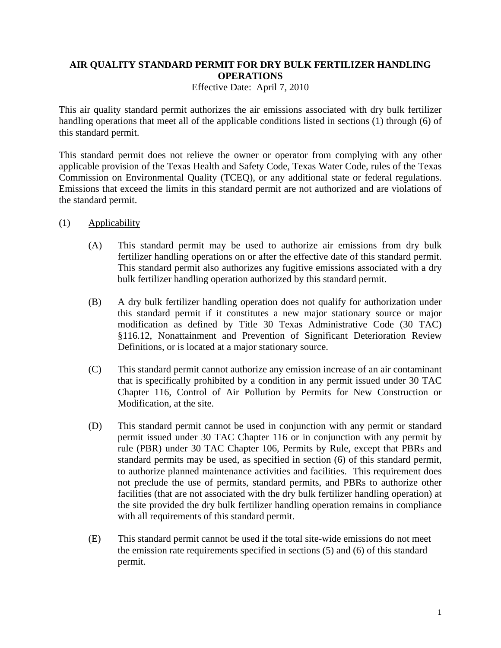## **AIR QUALITY STANDARD PERMIT FOR DRY BULK FERTILIZER HANDLING OPERATIONS**

Effective Date: April 7, 2010

This air quality standard permit authorizes the air emissions associated with dry bulk fertilizer handling operations that meet all of the applicable conditions listed in sections (1) through (6) of this standard permit.

This standard permit does not relieve the owner or operator from complying with any other applicable provision of the Texas Health and Safety Code, Texas Water Code, rules of the Texas Commission on Environmental Quality (TCEQ), or any additional state or federal regulations. Emissions that exceed the limits in this standard permit are not authorized and are violations of the standard permit.

- (1) Applicability
	- (A) This standard permit may be used to authorize air emissions from dry bulk fertilizer handling operations on or after the effective date of this standard permit. This standard permit also authorizes any fugitive emissions associated with a dry bulk fertilizer handling operation authorized by this standard permit*.*
	- (B) A dry bulk fertilizer handling operation does not qualify for authorization under this standard permit if it constitutes a new major stationary source or major modification as defined by Title 30 Texas Administrative Code (30 TAC) §116.12, Nonattainment and Prevention of Significant Deterioration Review Definitions, or is located at a major stationary source.
	- (C) This standard permit cannot authorize any emission increase of an air contaminant that is specifically prohibited by a condition in any permit issued under 30 TAC Chapter 116, Control of Air Pollution by Permits for New Construction or Modification, at the site.
	- (D) This standard permit cannot be used in conjunction with any permit or standard permit issued under 30 TAC Chapter 116 or in conjunction with any permit by rule (PBR) under 30 TAC Chapter 106, Permits by Rule, except that PBRs and standard permits may be used, as specified in section (6) of this standard permit, to authorize planned maintenance activities and facilities. This requirement does not preclude the use of permits, standard permits, and PBRs to authorize other facilities (that are not associated with the dry bulk fertilizer handling operation) at the site provided the dry bulk fertilizer handling operation remains in compliance with all requirements of this standard permit.
	- (E) This standard permit cannot be used if the total site-wide emissions do not meet the emission rate requirements specified in sections (5) and (6) of this standard permit.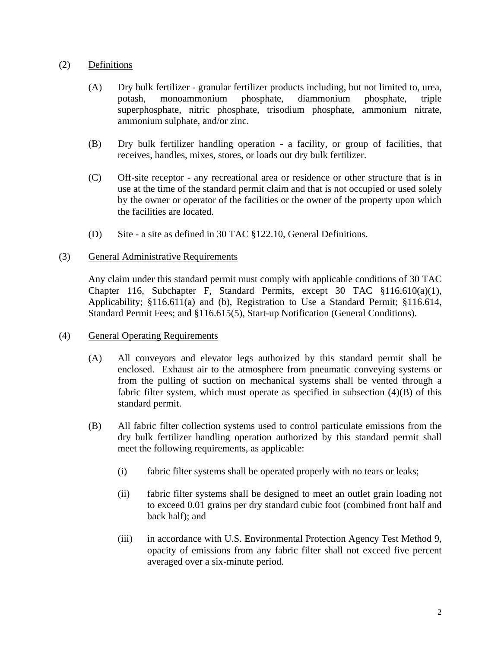## (2) Definitions

- (A) Dry bulk fertilizer granular fertilizer products including, but not limited to, urea, potash, monoammonium phosphate, diammonium phosphate, triple superphosphate, nitric phosphate, trisodium phosphate, ammonium nitrate, ammonium sulphate, and/or zinc.
- (B) Dry bulk fertilizer handling operation a facility, or group of facilities, that receives, handles, mixes, stores, or loads out dry bulk fertilizer.
- (C) Off-site receptor any recreational area or residence or other structure that is in use at the time of the standard permit claim and that is not occupied or used solely by the owner or operator of the facilities or the owner of the property upon which the facilities are located.
- (D) Site a site as defined in 30 TAC §122.10, General Definitions.

## (3) General Administrative Requirements

Any claim under this standard permit must comply with applicable conditions of 30 TAC Chapter 116, Subchapter F, Standard Permits, except 30 TAC §116.610(a)(1), Applicability; §116.611(a) and (b), Registration to Use a Standard Permit; §116.614, Standard Permit Fees; and §116.615(5), Start-up Notification (General Conditions).

- (4) General Operating Requirements
	- (A) All conveyors and elevator legs authorized by this standard permit shall be enclosed. Exhaust air to the atmosphere from pneumatic conveying systems or from the pulling of suction on mechanical systems shall be vented through a fabric filter system, which must operate as specified in subsection  $(4)(B)$  of this standard permit.
	- (B) All fabric filter collection systems used to control particulate emissions from the dry bulk fertilizer handling operation authorized by this standard permit shall meet the following requirements, as applicable:
		- (i) fabric filter systems shall be operated properly with no tears or leaks;
		- (ii) fabric filter systems shall be designed to meet an outlet grain loading not to exceed 0.01 grains per dry standard cubic foot (combined front half and back half); and
		- (iii) in accordance with U.S. Environmental Protection Agency Test Method 9, opacity of emissions from any fabric filter shall not exceed five percent averaged over a six-minute period.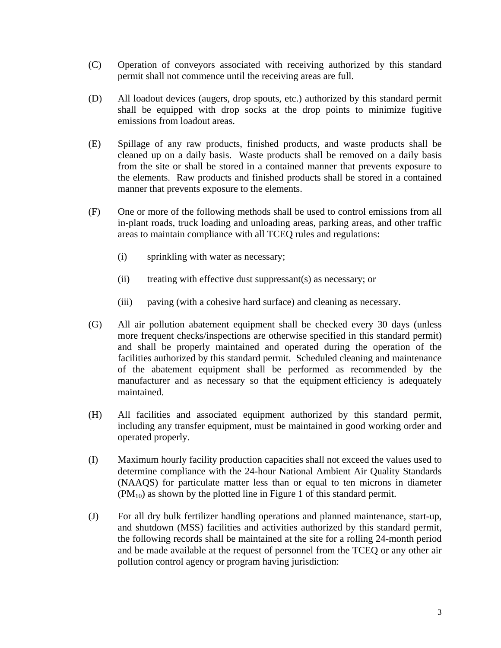- (C) Operation of conveyors associated with receiving authorized by this standard permit shall not commence until the receiving areas are full.
- (D) All loadout devices (augers, drop spouts, etc.) authorized by this standard permit shall be equipped with drop socks at the drop points to minimize fugitive emissions from loadout areas.
- (E) Spillage of any raw products, finished products, and waste products shall be cleaned up on a daily basis. Waste products shall be removed on a daily basis from the site or shall be stored in a contained manner that prevents exposure to the elements. Raw products and finished products shall be stored in a contained manner that prevents exposure to the elements.
- (F) One or more of the following methods shall be used to control emissions from all in-plant roads, truck loading and unloading areas, parking areas, and other traffic areas to maintain compliance with all TCEQ rules and regulations:
	- (i) sprinkling with water as necessary;
	- (ii) treating with effective dust suppressant(s) as necessary; or
	- (iii) paving (with a cohesive hard surface) and cleaning as necessary.
- (G) All air pollution abatement equipment shall be checked every 30 days (unless more frequent checks/inspections are otherwise specified in this standard permit) and shall be properly maintained and operated during the operation of the facilities authorized by this standard permit. Scheduled cleaning and maintenance of the abatement equipment shall be performed as recommended by the manufacturer and as necessary so that the equipment efficiency is adequately maintained.
- (H) All facilities and associated equipment authorized by this standard permit, including any transfer equipment, must be maintained in good working order and operated properly.
- (I) Maximum hourly facility production capacities shall not exceed the values used to determine compliance with the 24-hour National Ambient Air Quality Standards (NAAQS) for particulate matter less than or equal to ten microns in diameter  $(PM_{10})$  as shown by the plotted line in Figure 1 of this standard permit.
- (J) For all dry bulk fertilizer handling operations and planned maintenance, start-up, and shutdown (MSS) facilities and activities authorized by this standard permit, the following records shall be maintained at the site for a rolling 24-month period and be made available at the request of personnel from the TCEQ or any other air pollution control agency or program having jurisdiction: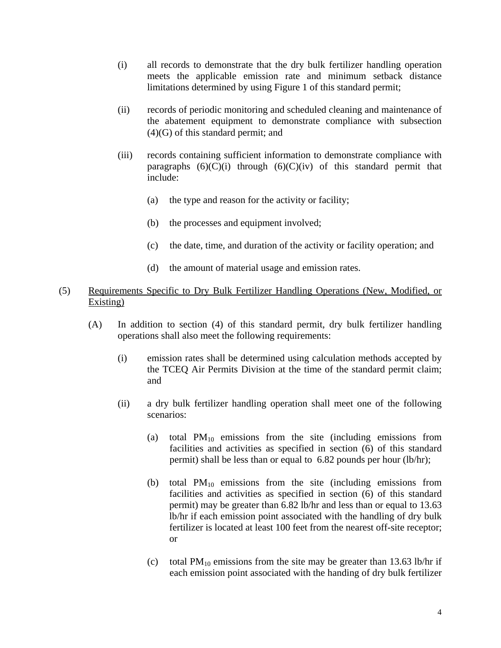- (i) all records to demonstrate that the dry bulk fertilizer handling operation meets the applicable emission rate and minimum setback distance limitations determined by using Figure 1 of this standard permit;
- (ii) records of periodic monitoring and scheduled cleaning and maintenance of the abatement equipment to demonstrate compliance with subsection (4)(G) of this standard permit; and
- (iii) records containing sufficient information to demonstrate compliance with paragraphs  $(6)(C)(i)$  through  $(6)(C)(iv)$  of this standard permit that include:
	- (a) the type and reason for the activity or facility;
	- (b) the processes and equipment involved;
	- (c) the date, time, and duration of the activity or facility operation; and
	- (d) the amount of material usage and emission rates.

## (5) Requirements Specific to Dry Bulk Fertilizer Handling Operations (New, Modified, or Existing)

- (A) In addition to section (4) of this standard permit, dry bulk fertilizer handling operations shall also meet the following requirements:
	- (i) emission rates shall be determined using calculation methods accepted by the TCEQ Air Permits Division at the time of the standard permit claim; and
	- (ii) a dry bulk fertilizer handling operation shall meet one of the following scenarios:
		- (a) total  $PM_{10}$  emissions from the site (including emissions from facilities and activities as specified in section (6) of this standard permit) shall be less than or equal to 6.82 pounds per hour (lb/hr);
		- (b) total  $PM_{10}$  emissions from the site (including emissions from facilities and activities as specified in section (6) of this standard permit) may be greater than 6.82 lb/hr and less than or equal to 13.63 lb/hr if each emission point associated with the handling of dry bulk fertilizer is located at least 100 feet from the nearest off-site receptor; or
		- (c) total  $PM_{10}$  emissions from the site may be greater than 13.63 lb/hr if each emission point associated with the handing of dry bulk fertilizer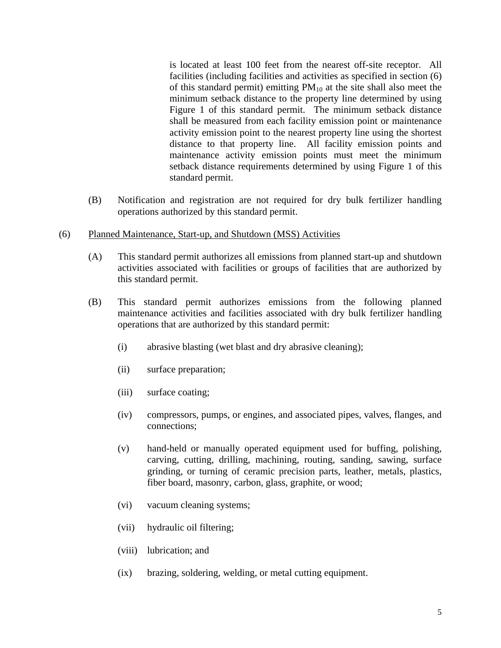is located at least 100 feet from the nearest off-site receptor. All facilities (including facilities and activities as specified in section (6) of this standard permit) emitting  $PM_{10}$  at the site shall also meet the minimum setback distance to the property line determined by using Figure 1 of this standard permit. The minimum setback distance shall be measured from each facility emission point or maintenance activity emission point to the nearest property line using the shortest distance to that property line. All facility emission points and maintenance activity emission points must meet the minimum setback distance requirements determined by using Figure 1 of this standard permit.

- (B) Notification and registration are not required for dry bulk fertilizer handling operations authorized by this standard permit.
- (6) Planned Maintenance, Start-up, and Shutdown (MSS) Activities
	- (A) This standard permit authorizes all emissions from planned start-up and shutdown activities associated with facilities or groups of facilities that are authorized by this standard permit.
	- (B) This standard permit authorizes emissions from the following planned maintenance activities and facilities associated with dry bulk fertilizer handling operations that are authorized by this standard permit:
		- (i) abrasive blasting (wet blast and dry abrasive cleaning);
		- (ii) surface preparation;
		- (iii) surface coating;
		- (iv) compressors, pumps, or engines, and associated pipes, valves, flanges, and connections;
		- (v) hand-held or manually operated equipment used for buffing, polishing, carving, cutting, drilling, machining, routing, sanding, sawing, surface grinding, or turning of ceramic precision parts, leather, metals, plastics, fiber board, masonry, carbon, glass, graphite, or wood;
		- (vi) vacuum cleaning systems;
		- (vii) hydraulic oil filtering;
		- (viii) lubrication; and
		- (ix) brazing, soldering, welding, or metal cutting equipment.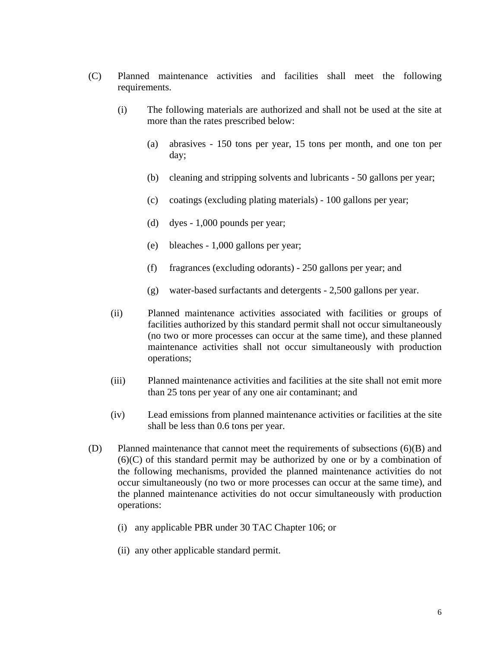- (C) Planned maintenance activities and facilities shall meet the following requirements.
	- (i) The following materials are authorized and shall not be used at the site at more than the rates prescribed below:
		- (a) abrasives 150 tons per year, 15 tons per month, and one ton per day;
		- (b) cleaning and stripping solvents and lubricants 50 gallons per year;
		- (c) coatings (excluding plating materials) 100 gallons per year;
		- (d) dyes  $-1,000$  pounds per year;
		- (e) bleaches 1,000 gallons per year;
		- (f) fragrances (excluding odorants) 250 gallons per year; and
		- (g) water-based surfactants and detergents 2,500 gallons per year.
	- (ii) Planned maintenance activities associated with facilities or groups of facilities authorized by this standard permit shall not occur simultaneously (no two or more processes can occur at the same time), and these planned maintenance activities shall not occur simultaneously with production operations;
	- (iii) Planned maintenance activities and facilities at the site shall not emit more than 25 tons per year of any one air contaminant; and
	- (iv) Lead emissions from planned maintenance activities or facilities at the site shall be less than 0.6 tons per year.
- (D) Planned maintenance that cannot meet the requirements of subsections (6)(B) and (6)(C) of this standard permit may be authorized by one or by a combination of the following mechanisms, provided the planned maintenance activities do not occur simultaneously (no two or more processes can occur at the same time), and the planned maintenance activities do not occur simultaneously with production operations:
	- (i) any applicable PBR under 30 TAC Chapter 106; or
	- (ii) any other applicable standard permit.